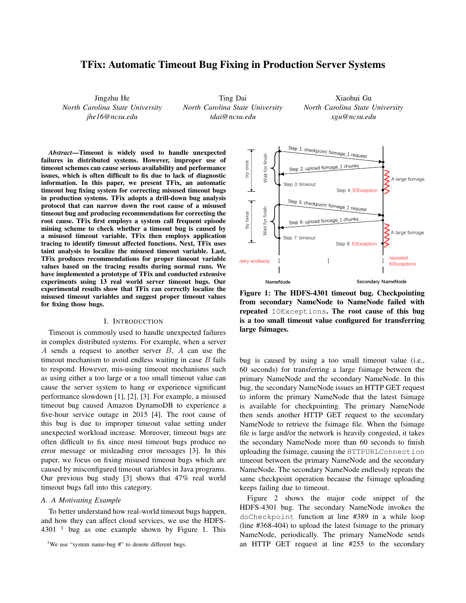# TFix: Automatic Timeout Bug Fixing in Production Server Systems

Jingzhu He *North Carolina State University jhe16@ncsu.edu*

Ting Dai *North Carolina State University tdai@ncsu.edu*

Xiaohui Gu *North Carolina State University xgu@ncsu.edu*

*Abstract*—Timeout is widely used to handle unexpected failures in distributed systems. However, improper use of timeout schemes can cause serious availability and performance issues, which is often difficult to fix due to lack of diagnostic information. In this paper, we present TFix, an automatic timeout bug fixing system for correcting misused timeout bugs in production systems. TFix adopts a drill-down bug analysis protocol that can narrow down the root cause of a misused timeout bug and producing recommendations for correcting the root cause. TFix first employs a system call frequent episode mining scheme to check whether a timeout bug is caused by a misused timeout variable. TFix then employs application tracing to identify timeout affected functions. Next, TFix uses taint analysis to localize the misused timeout variable. Last, TFix produces recommendations for proper timeout variable values based on the tracing results during normal runs. We have implemented a prototype of TFix and conducted extensive experiments using 13 real world server timeout bugs. Our experimental results show that TFix can correctly localize the misused timeout variables and suggest proper timeout values for fixing those bugs.

#### I. INTRODUCTION

Timeout is commonly used to handle unexpected failures in complex distributed systems. For example, when a server A sends a request to another server B, A can use the timeout mechanism to avoid endless waiting in case  $B$  fails to respond. However, mis-using timeout mechanisms such as using either a too large or a too small timeout value can cause the server system to hang or experience significant performance slowdown [1], [2], [3]. For example, a misused timeout bug caused Amazon DynamoDB to experience a five-hour service outage in 2015 [4]. The root cause of this bug is due to improper timeout value setting under unexpected workload increase. Moreover, timeout bugs are often difficult to fix since most timeout bugs produce no error message or misleading error messages [3]. In this paper, we focus on fixing misused timeout bugs which are caused by misconfigured timeout variables in Java programs. Our previous bug study [3] shows that 47% real world timeout bugs fall into this category.

#### *A. A Motivating Example*

To better understand how real-world timeout bugs happen, and how they can affect cloud services, we use the HDFS- $4301<sup>1</sup>$  bug as one example shown by Figure 1. This



Figure 1: The HDFS-4301 timeout bug. Checkpointing from secondary NameNode to NameNode failed with repeated IOExceptions. The root cause of this bug is a too small timeout value configured for transferring large fsimages.

bug is caused by using a too small timeout value (i.e., 60 seconds) for transferring a large fsimage between the primary NameNode and the secondary NameNode. In this bug, the secondary NameNode issues an HTTP GET request to inform the primary NameNode that the latest fsimage is available for checkpointing. The primary NameNode then sends another HTTP GET request to the secondary NameNode to retrieve the fsimage file. When the fsimage file is large and/or the network is heavily congested, it takes the secondary NameNode more than 60 seconds to finish uploading the fsimage, causing the HTTPURLConnection timeout between the primary NameNode and the secondary NameNode. The secondary NameNode endlessly repeats the same checkpoint operation because the fsimage uploading keeps failing due to timeout.

Figure 2 shows the major code snippet of the HDFS-4301 bug. The secondary NameNode invokes the doCheckpoint function at line #389 in a while loop (line #368-404) to upload the latest fsimage to the primary NameNode, periodically. The primary NameNode sends an HTTP GET request at line #255 to the secondary

<sup>&</sup>lt;sup>1</sup>We use "system name-bug #" to denote different bugs.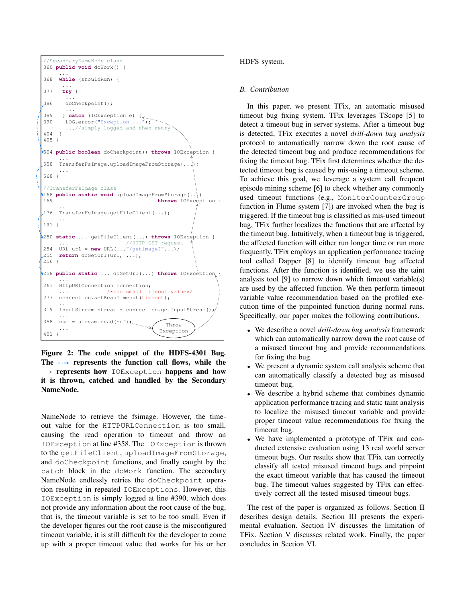

Figure 2: The code snippet of the HDFS-4301 Bug. The  $\rightarrow$  represents the function call flows, while the **represents how** IOException happens and how it is thrown, catched and handled by the Secondary NameNode.

NameNode to retrieve the fsimage. However, the timeout value for the HTTPURLConnection is too small, causing the read operation to timeout and throw an IOException at line #358. The IOException is thrown to the getFileClient, uploadImageFromStorage, and doCheckpoint functions, and finally caught by the catch block in the doWork function. The secondary NameNode endlessly retries the doCheckpoint operation resulting in repeated IOExceptions. However, this IOException is simply logged at line #390, which does not provide any information about the root cause of the bug, that is, the timeout variable is set to be too small. Even if the developer figures out the root cause is the misconfigured timeout variable, it is still difficult for the developer to come up with a proper timeout value that works for his or her

## HDFS system.

# *B. Contribution*

In this paper, we present TFix, an automatic misused timeout bug fixing system. TFix leverages TScope [5] to detect a timeout bug in server systems. After a timeout bug is detected, TFix executes a novel *drill-down bug analysis* protocol to automatically narrow down the root cause of the detected timeout bug and produce recommendations for fixing the timeout bug. TFix first determines whether the detected timeout bug is caused by mis-using a timeout scheme. To achieve this goal, we leverage a system call frequent episode mining scheme [6] to check whether any commonly used timeout functions (e.g., MonitorCounterGroup function in Flume system [7]) are invoked when the bug is triggered. If the timeout bug is classified as mis-used timeout bug, TFix further localizes the functions that are affected by the timeout bug. Intuitively, when a timeout bug is triggered, the affected function will either run longer time or run more frequently. TFix employs an application performance tracing tool called Dapper [8] to identify timeout bug affected functions. After the function is identified, we use the taint analysis tool [9] to narrow down which timeout variable(s) are used by the affected function. We then perform timeout variable value recommendation based on the profiled execution time of the pinpointed function during normal runs. Specifically, our paper makes the following contributions.

- We describe a novel *drill-down bug analysis* framework which can automatically narrow down the root cause of a misused timeout bug and provide recommendations for fixing the bug.
- We present a dynamic system call analysis scheme that can automatically classify a detected bug as misused timeout bug.
- We describe a hybrid scheme that combines dynamic application performance tracing and static taint analysis to localize the misused timeout variable and provide proper timeout value recommendations for fixing the timeout bug.
- We have implemented a prototype of TFix and conducted extensive evaluation using 13 real world server timeout bugs. Our results show that TFix can correctly classify all tested misused timeout bugs and pinpoint the exact timeout variable that has caused the timeout bug. The timeout values suggested by TFix can effectively correct all the tested misused timeout bugs.

The rest of the paper is organized as follows. Section II describes design details. Section III presents the experimental evaluation. Section IV discusses the limitation of TFix. Section V discusses related work. Finally, the paper concludes in Section VI.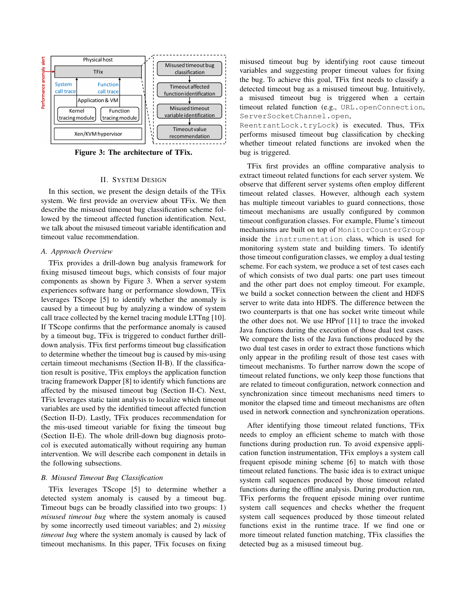

Figure 3: The architecture of TFix.

#### II. SYSTEM DESIGN

In this section, we present the design details of the TFix system. We first provide an overview about TFix. We then describe the misused timeout bug classification scheme followed by the timeout affected function identification. Next, we talk about the misused timeout variable identification and timeout value recommendation.

### *A. Approach Overview*

TFix provides a drill-down bug analysis framework for fixing misused timeout bugs, which consists of four major components as shown by Figure 3. When a server system experiences software hang or performance slowdown, TFix leverages TScope [5] to identify whether the anomaly is caused by a timeout bug by analyzing a window of system call trace collected by the kernel tracing module LTTng [10]. If TScope confirms that the performance anomaly is caused by a timeout bug, TFix is triggered to conduct further drilldown analysis. TFix first performs timeout bug classification to determine whether the timeout bug is caused by mis-using certain timeout mechanisms (Section II-B). If the classification result is positive, TFix employs the application function tracing framework Dapper [8] to identify which functions are affected by the misused timeout bug (Section II-C). Next, TFix leverages static taint analysis to localize which timeout variables are used by the identified timeout affected function (Section II-D). Lastly, TFix produces recommendation for the mis-used timeout variable for fixing the timeout bug (Section II-E). The whole drill-down bug diagnosis protocol is executed automatically without requiring any human intervention. We will describe each component in details in the following subsections.

### *B. Misused Timeout Bug Classification*

TFix leverages TScope [5] to determine whether a detected system anomaly is caused by a timeout bug. Timeout bugs can be broadly classified into two groups: 1) *misused timeout bug* where the system anomaly is caused by some incorrectly used timeout variables; and 2) *missing timeout bug* where the system anomaly is caused by lack of timeout mechanisms. In this paper, TFix focuses on fixing misused timeout bug by identifying root cause timeout variables and suggesting proper timeout values for fixing the bug. To achieve this goal, TFix first needs to classify a detected timeout bug as a misused timeout bug. Intuitively, a misused timeout bug is triggered when a certain timeout related function (e.g., URL.openConnection, ServerSocketChannel.open,

ReentrantLock.tryLock) is executed. Thus, TFix performs misused timeout bug classification by checking whether timeout related functions are invoked when the bug is triggered.

TFix first provides an offline comparative analysis to extract timeout related functions for each server system. We observe that different server systems often employ different timeout related classes. However, although each system has multiple timeout variables to guard connections, those timeout mechanisms are usually configured by common timeout configuration classes. For example, Flume's timeout mechanisms are built on top of MonitorCounterGroup inside the instrumentation class, which is used for monitoring system state and building timers. To identify those timeout configuration classes, we employ a dual testing scheme. For each system, we produce a set of test cases each of which consists of two dual parts: one part uses timeout and the other part does not employ timeout. For example, we build a socket connection between the client and HDFS server to write data into HDFS. The difference between the two counterparts is that one has socket write timeout while the other does not. We use HProf [11] to trace the invoked Java functions during the execution of those dual test cases. We compare the lists of the Java functions produced by the two dual test cases in order to extract those functions which only appear in the profiling result of those test cases with timeout mechanisms. To further narrow down the scope of timeout related functions, we only keep those functions that are related to timeout configuration, network connection and synchronization since timeout mechanisms need timers to monitor the elapsed time and timeout mechanisms are often used in network connection and synchronization operations.

After identifying those timeout related functions, TFix needs to employ an efficient scheme to match with those functions during production run. To avoid expensive application function instrumentation, TFix employs a system call frequent episode mining scheme [6] to match with those timeout related functions. The basic idea is to extract unique system call sequences produced by those timeout related functions during the offline analysis. During production run, TFix performs the frequent episode mining over runtime system call sequences and checks whether the frequent system call sequences produced by those timeout related functions exist in the runtime trace. If we find one or more timeout related function matching, TFix classifies the detected bug as a misused timeout bug.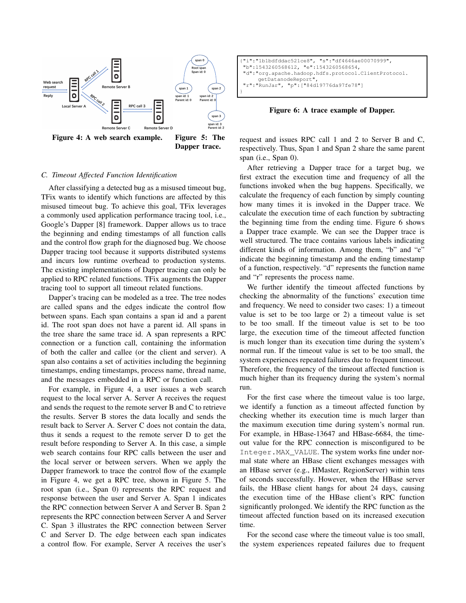

# *C. Timeout Affected Function Identification*

After classifying a detected bug as a misused timeout bug, TFix wants to identify which functions are affected by this misused timeout bug. To achieve this goal, TFix leverages a commonly used application performance tracing tool, i.e., Google's Dapper [8] framework. Dapper allows us to trace the beginning and ending timestamps of all function calls and the control flow graph for the diagnosed bug. We choose Dapper tracing tool because it supports distributed systems and incurs low runtime overhead to production systems. The existing implementations of Dapper tracing can only be applied to RPC related functions. TFix augments the Dapper tracing tool to support all timeout related functions.

Dapper's tracing can be modeled as a tree. The tree nodes are called spans and the edges indicate the control flow between spans. Each span contains a span id and a parent id. The root span does not have a parent id. All spans in the tree share the same trace id. A span represents a RPC connection or a function call, containing the information of both the caller and callee (or the client and server). A span also contains a set of activities including the beginning timestamps, ending timestamps, process name, thread name, and the messages embedded in a RPC or function call.

For example, in Figure 4, a user issues a web search request to the local server A. Server A receives the request and sends the request to the remote server B and C to retrieve the results. Server B stores the data locally and sends the result back to Server A. Server C does not contain the data, thus it sends a request to the remote server D to get the result before responding to Server A. In this case, a simple web search contains four RPC calls between the user and the local server or between servers. When we apply the Dapper framework to trace the control flow of the example in Figure 4, we get a RPC tree, shown in Figure 5. The root span (i.e., Span 0) represents the RPC request and response between the user and Server A. Span 1 indicates the RPC connection between Server A and Server B. Span 2 represents the RPC connection between Server A and Server C. Span 3 illustrates the RPC connection between Server C and Server D. The edge between each span indicates a control flow. For example, Server A receives the user's

```
{"i":"1b1bdfddac521ce8", "s":"df4646ae00070999",
 "b":1543260568612, "e":1543260568654,
 "d":"org.apache.hadoop.hdfs.protocol.ClientProtocol.
     getDatanodeReport",
   "r":"RunJar", "p":["84d19776da97fe78"]
}
```
#### Figure 6: A trace example of Dapper.

request and issues RPC call 1 and 2 to Server B and C, respectively. Thus, Span 1 and Span 2 share the same parent span (i.e., Span 0).

After retrieving a Dapper trace for a target bug, we first extract the execution time and frequency of all the functions invoked when the bug happens. Specifically, we calculate the frequency of each function by simply counting how many times it is invoked in the Dapper trace. We calculate the execution time of each function by subtracting the beginning time from the ending time. Figure 6 shows a Dapper trace example. We can see the Dapper trace is well structured. The trace contains various labels indicating different kinds of information. Among them, "b" and "e" indicate the beginning timestamp and the ending timestamp of a function, respectively. "d" represents the function name and "r" represents the process name.

We further identify the timeout affected functions by checking the abnormality of the functions' execution time and frequency. We need to consider two cases: 1) a timeout value is set to be too large or 2) a timeout value is set to be too small. If the timeout value is set to be too large, the execution time of the timeout affected function is much longer than its execution time during the system's normal run. If the timeout value is set to be too small, the system experiences repeated failures due to frequent timeout. Therefore, the frequency of the timeout affected function is much higher than its frequency during the system's normal run.

For the first case where the timeout value is too large, we identify a function as a timeout affected function by checking whether its execution time is much larger than the maximum execution time during system's normal run. For example, in HBase-13647 and HBase-6684, the timeout value for the RPC connection is misconfigured to be Integer.MAX\_VALUE. The system works fine under normal state where an HBase client exchanges messages with an HBase server (e.g., HMaster, RegionServer) within tens of seconds successfully. However, when the HBase server fails, the HBase client hangs for about 24 days, causing the execution time of the HBase client's RPC function significantly prolonged. We identify the RPC function as the timeout affected function based on its increased execution time.

For the second case where the timeout value is too small, the system experiences repeated failures due to frequent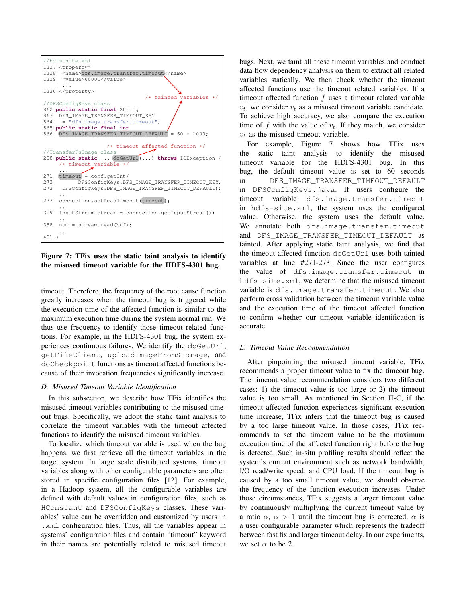

Figure 7: TFix uses the static taint analysis to identify the misused timeout variable for the HDFS-4301 bug.

timeout. Therefore, the frequency of the root cause function greatly increases when the timeout bug is triggered while the execution time of the affected function is similar to the maximum execution time during the system normal run. We thus use frequency to identify those timeout related functions. For example, in the HDFS-4301 bug, the system experiences continuous failures. We identify the doGetUrl, getFileClient, uploadImageFromStorage, and doCheckpoint functions as timeout affected functions because of their invocation frequencies significantly increase.

### *D. Misused Timeout Variable Identification*

In this subsection, we describe how TFix identifies the misused timeout variables contributing to the misused timeout bugs. Specifically, we adopt the static taint analysis to correlate the timeout variables with the timeout affected functions to identify the misused timeout variables.

To localize which timeout variable is used when the bug happens, we first retrieve all the timeout variables in the target system. In large scale distributed systems, timeout variables along with other configurable parameters are often stored in specific configuration files [12]. For example, in a Hadoop system, all the configurable variables are defined with default values in configuration files, such as HConstant and DFSConfigKeys classes. These variables' value can be overridden and customized by users in .xml configuration files. Thus, all the variables appear in systems' configuration files and contain "timeout" keyword in their names are potentially related to misused timeout bugs. Next, we taint all these timeout variables and conduct data flow dependency analysis on them to extract all related variables statically. We then check whether the timeout affected functions use the timeout related variables. If a timeout affected function  $f$  uses a timeout related variable  $v_t$ , we consider  $v_t$  as a misused timeout variable candidate. To achieve high accuracy, we also compare the execution time of f with the value of  $v_t$ . If they match, we consider  $v_t$  as the misused timeout variable.

For example, Figure 7 shows how TFix uses the static taint analysis to identify the misused timeout variable for the HDFS-4301 bug. In this bug, the default timeout value is set to 60 seconds in DFS\_IMAGE\_TRANSFER\_TIMEOUT\_DEFAULT in DFSConfigKeys.java. If users configure the timeout variable dfs.image.transfer.timeout in hdfs-site.xml, the system uses the configured value. Otherwise, the system uses the default value. We annotate both dfs.image.transfer.timeout and DFS\_IMAGE\_TRANSFER\_TIMEOUT\_DEFAULT as tainted. After applying static taint analysis, we find that the timeout affected function doGetUrl uses both tainted variables at line #271-273. Since the user configures the value of dfs.image.transfer.timeout in hdfs-site.xml, we determine that the misused timeout variable is dfs.image.transfer.timeout. We also perform cross validation between the timeout variable value and the execution time of the timeout affected function to confirm whether our timeout variable identification is accurate.

### *E. Timeout Value Recommendation*

After pinpointing the misused timeout variable, TFix recommends a proper timeout value to fix the timeout bug. The timeout value recommendation considers two different cases: 1) the timeout value is too large or 2) the timeout value is too small. As mentioned in Section II-C, if the timeout affected function experiences significant execution time increase, TFix infers that the timeout bug is caused by a too large timeout value. In those cases, TFix recommends to set the timeout value to be the maximum execution time of the affected function right before the bug is detected. Such in-situ profiling results should reflect the system's current environment such as network bandwidth, I/O read/write speed, and CPU load. If the timeout bug is caused by a too small timeout value, we should observe the frequency of the function execution increases. Under those circumstances, TFix suggests a larger timeout value by continuously multiplying the current timeout value by a ratio  $\alpha$ ,  $\alpha > 1$  until the timeout bug is corrected.  $\alpha$  is a user configurable parameter which represents the tradeoff between fast fix and larger timeout delay. In our experiments, we set  $\alpha$  to be 2.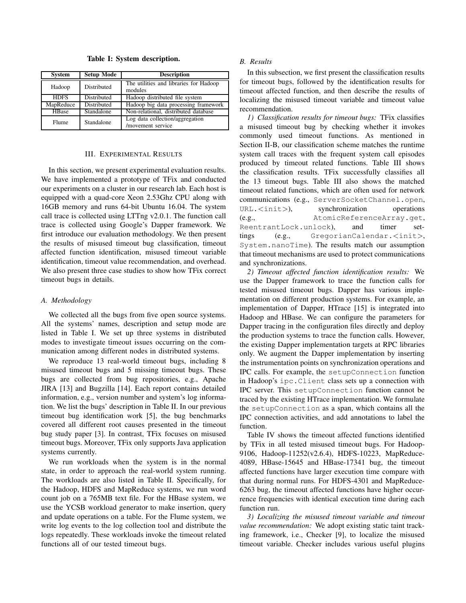Table I: System description.

| <b>System</b> | <b>Setup Mode</b>  | <b>Description</b>                                   |  |  |
|---------------|--------------------|------------------------------------------------------|--|--|
| Hadoop        | Distributed        | The utilities and libraries for Hadoop<br>modules    |  |  |
| <b>HDFS</b>   | <b>Distributed</b> | Hadoop distributed file system                       |  |  |
| MapReduce     | Distributed        | Hadoop big data processing framework                 |  |  |
| HBase         | Standalone         | Non-relational, distributed database                 |  |  |
| Flume         | Standalone         | Log data collection/aggregation<br>/movement service |  |  |

#### III. EXPERIMENTAL RESULTS

In this section, we present experimental evaluation results. We have implemented a prototype of TFix and conducted our experiments on a cluster in our research lab. Each host is equipped with a quad-core Xeon 2.53Ghz CPU along with 16GB memory and runs 64-bit Ubuntu 16.04. The system call trace is collected using LTTng v2.0.1. The function call trace is collected using Google's Dapper framework. We first introduce our evaluation methodology. We then present the results of misused timeout bug classification, timeout affected function identification, misused timeout variable identification, timeout value recommendation, and overhead. We also present three case studies to show how TFix correct timeout bugs in details.

### *A. Methodology*

We collected all the bugs from five open source systems. All the systems' names, description and setup mode are listed in Table I. We set up three systems in distributed modes to investigate timeout issues occurring on the communication among different nodes in distributed systems.

We reproduce 13 real-world timeout bugs, including 8 misused timeout bugs and 5 missing timeout bugs. These bugs are collected from bug repositories, e.g., Apache JIRA [13] and Bugzilla [14]. Each report contains detailed information, e.g., version number and system's log information. We list the bugs' description in Table II. In our previous timeout bug identification work [5], the bug benchmarks covered all different root causes presented in the timeout bug study paper [3]. In contrast, TFix focuses on misused timeout bugs. Moreover, TFix only supports Java application systems currently.

We run workloads when the system is in the normal state, in order to approach the real-world system running. The workloads are also listed in Table II. Specifically, for the Hadoop, HDFS and MapReduce systems, we run word count job on a 765MB text file. For the HBase system, we use the YCSB workload generator to make insertion, query and update operations on a table. For the Flume system, we write log events to the log collection tool and distribute the logs repeatedly. These workloads invoke the timeout related functions all of our tested timeout bugs.

#### *B. Results*

In this subsection, we first present the classification results for timeout bugs, followed by the identification results for timeout affected function, and then describe the results of localizing the misused timeout variable and timeout value recommendation.

*1) Classification results for timeout bugs:* TFix classifies a misused timeout bug by checking whether it invokes commonly used timeout functions. As mentioned in Section II-B, our classification scheme matches the runtime system call traces with the frequent system call episodes produced by timeout related functions. Table III shows the classification results. TFix successfully classifies all the 13 timeout bugs. Table III also shows the matched timeout related functions, which are often used for network communications (e.g., ServerSocketChannel.open, URL.<init>), synchronization operations (e.g., AtomicReferenceArray.get, ReentrantLock.unlock), and timer settings (e.g., GregorianCalendar.<init>, System.nanoTime). The results match our assumption that timeout mechanisms are used to protect communications and synchronizations.

*2) Timeout affected function identification results:* We use the Dapper framework to trace the function calls for tested misused timeout bugs. Dapper has various implementation on different production systems. For example, an implementation of Dapper, HTrace [15] is integrated into Hadoop and HBase. We can configure the parameters for Dapper tracing in the configuration files directly and deploy the production systems to trace the function calls. However, the existing Dapper implementation targets at RPC libraries only. We augment the Dapper implementation by inserting the instrumentation points on synchronization operations and IPC calls. For example, the setupConnection function in Hadoop's ipc.Client class sets up a connection with IPC server. This setupConnection function cannot be traced by the existing HTrace implementation. We formulate the setupConnection as a span, which contains all the IPC connection activities, and add annotations to label the function.

Table IV shows the timeout affected functions identified by TFix in all tested misused timeout bugs. For Hadoop-9106, Hadoop-11252(v2.6.4), HDFS-10223, MapReduce-4089, HBase-15645 and HBase-17341 bug, the timeout affected functions have larger execution time compare with that during normal runs. For HDFS-4301 and MapReduce-6263 bug, the timeout affected functions have higher occurrence frequencies with identical execution time during each function run.

*3) Localizing the misused timeout variable and timeout value recommendation:* We adopt existing static taint tracking framework, i.e., Checker [9], to localize the misused timeout variable. Checker includes various useful plugins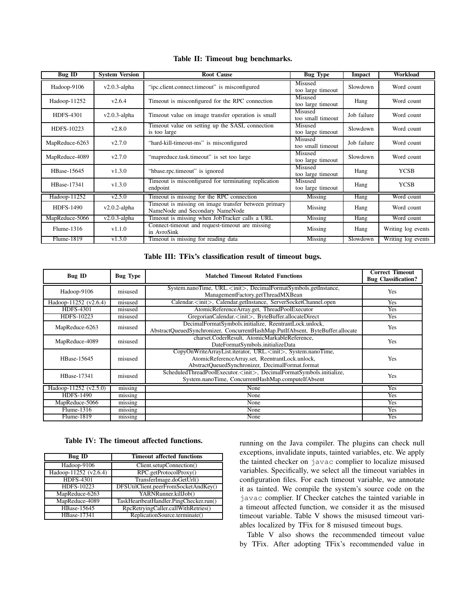| <b>Bug ID</b>    | <b>System Version</b> | <b>Root Cause</b>                                                                       | <b>Bug Type</b>              | Impact      | <b>Workload</b>    |
|------------------|-----------------------|-----------------------------------------------------------------------------------------|------------------------------|-------------|--------------------|
| Hadoop-9106      | $v2.0.3$ -alpha       | Misused<br>"ipc.client.connect.timeout" is misconfigured<br>too large timeout           |                              | Slowdown    | Word count         |
| Hadoop-11252     | v2.6.4                | Timeout is misconfigured for the RPC connection                                         | Misused<br>too large timeout | Hang        | Word count         |
| <b>HDFS-4301</b> | $v2.0.3$ -alpha       | Timeout value on image transfer operation is small                                      | Misused<br>too small timeout | Job failure | Word count         |
| HDFS-10223       | v2.8.0                | Timeout value on setting up the SASL connection<br>is too large                         | Misused<br>too large timeout | Slowdown    | Word count         |
| MapReduce-6263   | v2.7.0                | "hard-kill-timeout-ms" is misconfigured                                                 | Misused<br>too small timeout | Job failure | Word count         |
| MapReduce-4089   | v2.7.0                | "mapreduce.task.timeout" is set too large                                               | Misused<br>too large timeout | Slowdown    | Word count         |
| HBase-15645      | v1.3.0                | "hbase.rpc.timeout" is ignored                                                          | Misused<br>too large timeout | Hang        | <b>YCSB</b>        |
| HBase-17341      | v1.3.0                | Timeout is misconfigured for terminating replication<br>endpoint                        | Misused<br>too large timeout | Hang        | <b>YCSB</b>        |
| Hadoop-11252     | v2.5.0                | Timeout is missing for the RPC connection                                               | Missing                      | Hang        | Word count         |
| <b>HDFS-1490</b> | $v2.0.2$ -alpha       | Timeout is missing on image transfer between primary<br>NameNode and Secondary NameNode | Missing                      | Hang        | Word count         |
| MapReduce-5066   | $v2.0.3$ -alpha       | Timeout is missing when JobTracker calls a URL                                          | Missing                      | Hang        | Word count         |
| Flume-1316       | v1.1.0                | Connect-timeout and request-timeout are missing<br>in AvroSink                          | Missing                      | Hang        | Writing log events |
| Flume-1819       | v1.3.0                | Timeout is missing for reading data                                                     | Missing                      | Slowdown    | Writing log events |

# Table II: Timeout bug benchmarks.

### Table III: TFix's classification result of timeout bugs.

| Bug ID                | <b>Bug Type</b> | <b>Matched Timeout Related Functions</b>                                                                                                                                     | <b>Correct Timeout</b><br><b>Bug Classification?</b> |
|-----------------------|-----------------|------------------------------------------------------------------------------------------------------------------------------------------------------------------------------|------------------------------------------------------|
| Hadoop-9106           | misused         | System.nanoTime, URL. <init>, DecimalFormatSymbols.getInstance,<br/>ManagementFactory.getThreadMXBean</init>                                                                 | <b>Yes</b>                                           |
| Hadoop-11252 (v2.6.4) | misused         | Calendar. <init>, Calendar.getInstance, ServerSocketChannel.open</init>                                                                                                      | Yes                                                  |
| <b>HDFS-4301</b>      | misused         | AtomicReferenceArray.get, ThreadPoolExecutor                                                                                                                                 | Yes                                                  |
| HDFS-10223            | misused         | GregorianCalendar. <init>, ByteBuffer.allocateDirect</init>                                                                                                                  | Yes                                                  |
| MapReduce-6263        | misused         | DecimalFormatSymbols.initialize, ReentrantLock.unlock,<br>AbstractQueuedSynchronizer, ConcurrentHashMap.PutIfAbsent, ByteBuffer.allocate                                     | Yes                                                  |
| MapReduce-4089        | misused         | charset.CoderResult, AtomicMarkableReference,<br>DateFormatSymbols.initializeData                                                                                            | Yes                                                  |
| HBase-15645           | misused         | CopyOnWriteArrayList.iterator, URL. <init>, System.nanoTime,<br/>AtomicReferenceArray.set, ReentrantLock.unlock,<br/>AbstractQueuedSynchronizer, DecimalFormat.format</init> | <b>Yes</b>                                           |
| HBase-17341           | misused         | ScheduledThreadPoolExecutor. <init>, DecimalFormatSymbols.initialize,<br/>System.nanoTime, ConcurrentHashMap.computeIfAbsent</init>                                          | Yes                                                  |
| Hadoop-11252 (v2.5.0) | missing         | None                                                                                                                                                                         | Yes                                                  |
| <b>HDFS-1490</b>      | missing         | None                                                                                                                                                                         | Yes                                                  |
| MapReduce-5066        | missing         | None                                                                                                                                                                         | Yes                                                  |
| Flume-1316            | missing         | None                                                                                                                                                                         | Yes                                                  |
| Flume-1819            | missing         | None                                                                                                                                                                         | Yes                                                  |

#### Table IV: The timeout affected functions.

| <b>Bug ID</b>         | <b>Timeout affected functions</b>      |  |  |
|-----------------------|----------------------------------------|--|--|
| Hadoop-9106           | Client.setupConnection()               |  |  |
| Hadoop-11252 (v2.6.4) | RPC.getProtocolProxy()                 |  |  |
| <b>HDFS-4301</b>      | TransferImage.doGetUrl()               |  |  |
| HDFS-10223            | DFSUtilClient.peerFromSocketAndKey()   |  |  |
| MapReduce-6263        | YARNRunner.killJob()                   |  |  |
| MapReduce-4089        | TaskHeartbeatHandler.PingChecker.run() |  |  |
| HBase-15645           | RpcRetryingCaller.callWithRetries()    |  |  |
| HBase-17341           | ReplicationSource.terminate()          |  |  |

running on the Java compiler. The plugins can check null exceptions, invalidate inputs, tainted variables, etc. We apply the tainted checker on javac complier to localize misused variables. Specifically, we select all the timeout variables in configuration files. For each timeout variable, we annotate it as tainted. We compile the system's source code on the javac complier. If Checker catches the tainted variable in a timeout affected function, we consider it as the misused timeout variable. Table V shows the misused timeout variables localized by TFix for 8 misused timeout bugs.

Table V also shows the recommended timeout value by TFix. After adopting TFix's recommended value in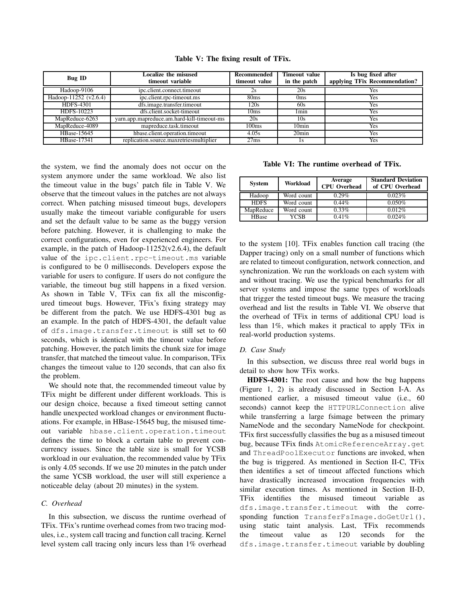| <b>Bug ID</b>         | Localize the misused<br>timeout variable   |                  | <b>Timeout value</b><br>in the patch | Is bug fixed after<br>applying TFix Recommendation? |
|-----------------------|--------------------------------------------|------------------|--------------------------------------|-----------------------------------------------------|
| Hadoop-9106           | ipc.client.connect.timeout                 | 2s               | 20s                                  | Yes                                                 |
| Hadoop-11252 (v2.6.4) | ipc.client.rpc-timeout.ms                  | 80 <sub>ms</sub> | 0 <sub>ms</sub>                      | Yes                                                 |
| <b>HDFS-4301</b>      | dfs.image.transfer.timeout                 | 120s             | 60s                                  | Yes                                                 |
| HDFS-10223            | dfs.client.socket-timeout                  | 10ms             | 1 <sub>min</sub>                     | Yes                                                 |
| MapReduce-6263        | yarn.app.mapreduce.am.hard-kill-timeout-ms | 20s              | 10s                                  | Yes                                                 |
| MapReduce-4089        | mapreduce.task.timeout                     | 100ms            | 10 <sub>min</sub>                    | Yes                                                 |
| HBase-15645           | hbase.client.operation.timeout             | 4.05s            | 20 <sub>min</sub>                    | Yes                                                 |
| HBase-17341           | replication.source.maxretriesmultiplier    | 27ms             |                                      | Yes                                                 |

Table V: The fixing result of TFix.

the system, we find the anomaly does not occur on the system anymore under the same workload. We also list the timeout value in the bugs' patch file in Table V. We observe that the timeout values in the patches are not always correct. When patching misused timeout bugs, developers usually make the timeout variable configurable for users and set the default value to be same as the buggy version before patching. However, it is challenging to make the correct configurations, even for experienced engineers. For example, in the patch of Hadoop- $11252(v2.6.4)$ , the default value of the ipc.client.rpc-timeout.ms variable is configured to be 0 milliseconds. Developers expose the variable for users to configure. If users do not configure the variable, the timeout bug still happens in a fixed version. As shown in Table V, TFix can fix all the misconfigured timeout bugs. However, TFix's fixing strategy may be different from the patch. We use HDFS-4301 bug as an example. In the patch of HDFS-4301, the default value of dfs.image.transfer.timeout is still set to 60 seconds, which is identical with the timeout value before patching. However, the patch limits the chunk size for image transfer, that matched the timeout value. In comparison, TFix changes the timeout value to 120 seconds, that can also fix the problem.

We should note that, the recommended timeout value by TFix might be different under different workloads. This is our design choice, because a fixed timeout setting cannot handle unexpected workload changes or environment fluctuations. For example, in HBase-15645 bug, the misused timeout variable hbase.client.operation.timeout defines the time to block a certain table to prevent concurrency issues. Since the table size is small for YCSB workload in our evaluation, the recommended value by TFix is only 4.05 seconds. If we use 20 minutes in the patch under the same YCSB workload, the user will still experience a noticeable delay (about 20 minutes) in the system.

# *C. Overhead*

In this subsection, we discuss the runtime overhead of TFix. TFix's runtime overhead comes from two tracing modules, i.e., system call tracing and function call tracing. Kernel level system call tracing only incurs less than 1% overhead

Table VI: The runtime overhead of TFix.

| <b>System</b> | Workload    | Average<br><b>CPU</b> Overhead | <b>Standard Deviation</b><br>of CPU Overhead |
|---------------|-------------|--------------------------------|----------------------------------------------|
| Hadoop        | Word count  | 0.29%                          | 0.023%                                       |
| <b>HDFS</b>   | Word count  | $0.44\%$                       | 0.050%                                       |
| MapReduce     | Word count  | $0.33\%$                       | 0.012%                                       |
| <b>HBase</b>  | <b>YCSB</b> | 0.41%                          | 0.024%                                       |

to the system [10]. TFix enables function call tracing (the Dapper tracing) only on a small number of functions which are related to timeout configuration, network connection, and synchronization. We run the workloads on each system with and without tracing. We use the typical benchmarks for all server systems and impose the same types of workloads that trigger the tested timeout bugs. We measure the tracing overhead and list the results in Table VI. We observe that the overhead of TFix in terms of additional CPU load is less than 1%, which makes it practical to apply TFix in real-world production systems.

### *D. Case Study*

In this subsection, we discuss three real world bugs in detail to show how TFix works.

HDFS-4301: The root cause and how the bug happens (Figure 1, 2) is already discussed in Section I-A. As mentioned earlier, a misused timeout value (i.e., 60 seconds) cannot keep the HTTPURLConnection alive while transferring a large fsimage between the primary NameNode and the secondary NameNode for checkpoint. TFix first successfully classifies the bug as a misused timeout bug, because TFix finds AtomicReferenceArray.get and ThreadPoolExecutor functions are invoked, when the bug is triggered. As mentioned in Section II-C, TFix then identifies a set of timeout affected functions which have drastically increased invocation frequencies with similar execution times. As mentioned in Section II-D, TFix identifies the misused timeout variable as dfs.image.transfer.timeout with the corresponding function TransferFsImage.doGetUrl(), using static taint analysis. Last, TFix recommends the timeout value as 120 seconds for the dfs.image.transfer.timeout variable by doubling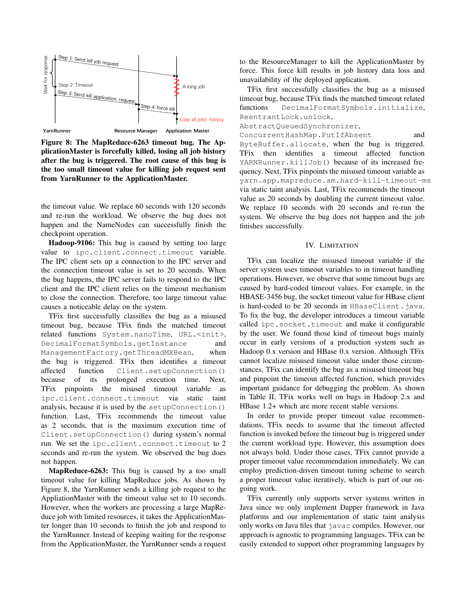

Figure 8: The MapReduce-6263 timeout bug. The ApplicationMaster is forcefully killed, losing all job history after the bug is triggered. The root cause of this bug is the too small timeout value for killing job request sent from YarnRunner to the ApplicationMaster.

the timeout value. We replace 60 seconds with 120 seconds and re-run the workload. We observe the bug does not happen and the NameNodes can successfully finish the checkpoint operation.

Hadoop-9106: This bug is caused by setting too large value to ipc.client.connect.timeout variable. The IPC client sets up a connection to the IPC server and the connection timeout value is set to 20 seconds. When the bug happens, the IPC server fails to respond to the IPC client and the IPC client relies on the timeout mechanism to close the connection. Therefore, too large timeout value causes a noticeable delay on the system.

TFix first successfully classifies the bug as a misused timeout bug, because TFix finds the matched timeout related functions System.nanoTime, URL.<init>, DecimalFormatSymbols.getInstance and ManagementFactory.getThreadMXBean, when the bug is triggered. TFix then identifies a timeout affected function Client.setupConnection() because of its prolonged execution time. Next, TFix pinpoints the misused timeout variable as ipc.client.connect.timeout via static taint analysis, because it is used by the setupConnection() function. Last, TFix recommends the timeout value as 2 seconds, that is the maximum execution time of Client.setupConnection() during system's normal run. We set the ipc.client.connect.timeout to 2 seconds and re-run the system. We observed the bug does not happen.

MapReduce-6263: This bug is caused by a too small timeout value for killing MapReduce jobs. As shown by Figure 8, the YarnRunner sends a killing job request to the AppliationMaster with the timeout value set to 10 seconds. However, when the workers are processing a large MapReduce job with limited resources, it takes the ApplicationMaster longer than 10 seconds to finish the job and respond to the YarnRunner. Instead of keeping waiting for the response from the ApplicationMaster, the YarnRunner sends a request to the ResourceManager to kill the ApplicationMaster by force. This force kill results in job history data loss and unavailability of the deployed application.

TFix first successfully classifies the bug as a misused timeout bug, because TFix finds the matched timeout related functions DecimalFormatSymbols.initialize, ReentrantLock.unlock,

AbstractQueuedSynchronizer,

ConcurrentHashMap.PutIfAbsent and ByteBuffer.allocate, when the bug is triggered. TFix then identifies a timeout affected function YARNRunner.killJob() because of its increased frequency. Next, TFix pinpoints the misused timeout variable as yarn.app.mapreduce.am.hard-kill-timeout-ms via static taint analysis. Last, TFix recommends the timeout value as 20 seconds by doubling the current timeout value. We replace 10 seconds with 20 seconds and re-run the system. We observe the bug does not happen and the job finishes successfully.

#### IV. LIMITATION

TFix can localize the misused timeout variable if the server system uses timeout variables to in timeout handling operations. However, we observe that some timeout bugs are caused by hard-coded timeout values. For example, in the HBASE-3456 bug, the socket timeout value for HBase client is hard-coded to be 20 seconds in HBaseClient.java. To fix the bug, the developer introduces a timeout variable called ipc.socket.timeout and make it configurable by the user. We found those kind of timeout bugs mainly occur in early versions of a production system such as Hadoop 0.x version and HBase 0.x version. Although TFix cannot localize misused timeout value under those circumstances, TFix can identify the bug as a misused timeout bug and pinpoint the timeout affected function, which provides important guidance for debugging the problem. As shown in Table II, TFix works well on bugs in Hadoop 2.x and HBase 1.2+ which are more recent stable versions.

In order to provide proper timeout value recommendations, TFix needs to assume that the timeout affected function is invoked before the timeout bug is triggered under the current workload type. However, this assumption does not always hold. Under those cases, TFix cannot provide a proper timeout value recommendation immediately. We can employ prediction-driven timeout tuning scheme to search a proper timeout value iteratively, which is part of our ongoing work.

TFix currently only supports server systems written in Java since we only implement Dapper framework in Java platforms and our implementation of static taint analysis only works on Java files that javac compiles. However, our approach is agnostic to programming languages. TFix can be easily extended to support other programming languages by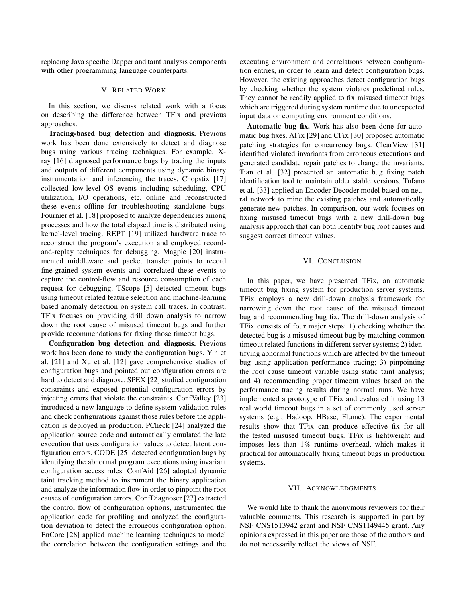replacing Java specific Dapper and taint analysis components with other programming language counterparts.

### V. RELATED WORK

In this section, we discuss related work with a focus on describing the difference between TFix and previous approaches.

Tracing-based bug detection and diagnosis. Previous work has been done extensively to detect and diagnose bugs using various tracing techniques. For example, Xray [16] diagnosed performance bugs by tracing the inputs and outputs of different components using dynamic binary instrumentation and inferencing the traces. Chopstix [17] collected low-level OS events including scheduling, CPU utilization, I/O operations, etc. online and reconstructed these events offline for troubleshooting standalone bugs. Fournier et al. [18] proposed to analyze dependencies among processes and how the total elapsed time is distributed using kernel-level tracing. REPT [19] utilized hardware trace to reconstruct the program's execution and employed recordand-replay techniques for debugging. Magpie [20] instrumented middleware and packet transfer points to record fine-grained system events and correlated these events to capture the control-flow and resource consumption of each request for debugging. TScope [5] detected timeout bugs using timeout related feature selection and machine-learning based anomaly detection on system call traces. In contrast, TFix focuses on providing drill down analysis to narrow down the root cause of misused timeout bugs and further provide recommendations for fixing those timeout bugs.

Configuration bug detection and diagnosis. Previous work has been done to study the configuration bugs. Yin et al. [21] and Xu et al. [12] gave comprehensive studies of configuration bugs and pointed out configuration errors are hard to detect and diagnose. SPEX [22] studied configuration constraints and exposed potential configuration errors by injecting errors that violate the constraints. ConfValley [23] introduced a new language to define system validation rules and check configurations against those rules before the application is deployed in production. PCheck [24] analyzed the application source code and automatically emulated the late execution that uses configuration values to detect latent configuration errors. CODE [25] detected configuration bugs by identifying the abnormal program executions using invariant configuration access rules. ConfAid [26] adopted dynamic taint tracking method to instrument the binary application and analyze the information flow in order to pinpoint the root causes of configuration errors. ConfDiagnoser [27] extracted the control flow of configuration options, instrumented the application code for profiling and analyzed the configuration deviation to detect the erroneous configuration option. EnCore [28] applied machine learning techniques to model the correlation between the configuration settings and the executing environment and correlations between configuration entries, in order to learn and detect configuration bugs. However, the existing approaches detect configuration bugs by checking whether the system violates predefined rules. They cannot be readily applied to fix misused timeout bugs which are triggered during system runtime due to unexpected input data or computing environment conditions.

Automatic bug fix. Work has also been done for automatic bug fixes. AFix [29] and CFix [30] proposed automatic patching strategies for concurrency bugs. ClearView [31] identified violated invariants from erroneous executions and generated candidate repair patches to change the invariants. Tian et al. [32] presented an automatic bug fixing patch identification tool to maintain older stable versions. Tufano et al. [33] applied an Encoder-Decoder model based on neural network to mine the existing patches and automatically generate new patches. In comparison, our work focuses on fixing misused timeout bugs with a new drill-down bug analysis approach that can both identify bug root causes and suggest correct timeout values.

### VI. CONCLUSION

In this paper, we have presented TFix, an automatic timeout bug fixing system for production server systems. TFix employs a new drill-down analysis framework for narrowing down the root cause of the misused timeout bug and recommending bug fix. The drill-down analysis of TFix consists of four major steps: 1) checking whether the detected bug is a misused timeout bug by matching common timeout related functions in different server systems; 2) identifying abnormal functions which are affected by the timeout bug using application performance tracing; 3) pinpointing the root cause timeout variable using static taint analysis; and 4) recommending proper timeout values based on the performance tracing results during normal runs. We have implemented a prototype of TFix and evaluated it using 13 real world timeout bugs in a set of commonly used server systems (e.g., Hadoop, HBase, Flume). The experimental results show that TFix can produce effective fix for all the tested misused timeout bugs. TFix is lightweight and imposes less than 1% runtime overhead, which makes it practical for automatically fixing timeout bugs in production systems.

#### VII. ACKNOWLEDGMENTS

We would like to thank the anonymous reviewers for their valuable comments. This research is supported in part by NSF CNS1513942 grant and NSF CNS1149445 grant. Any opinions expressed in this paper are those of the authors and do not necessarily reflect the views of NSF.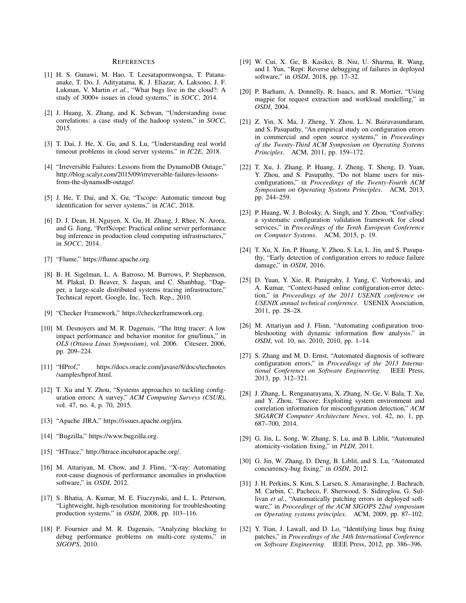#### **REFERENCES**

- [1] H. S. Gunawi, M. Hao, T. Leesatapornwongsa, T. Patanaanake, T. Do, J. Adityatama, K. J. Eliazar, A. Laksono, J. F. Lukman, V. Martin *et al.*, "What bugs live in the cloud?: A study of 3000+ issues in cloud systems," in *SOCC*, 2014.
- [2] J. Huang, X. Zhang, and K. Schwan, "Understanding issue correlations: a case study of the hadoop system," in *SOCC*, 2015.
- [3] T. Dai, J. He, X. Gu, and S. Lu, "Understanding real world timeout problems in cloud server systems," in *IC2E*, 2018.
- [4] "Irreversible Failures: Lessons from the DynamoDB Outage," http://blog.scalyr.com/2015/09/irreversible-failures-lessonsfrom-the-dynamodb-outage/.
- [5] J. He, T. Dai, and X. Gu, "Tscope: Automatic timeout bug identification for server systems," in *ICAC*, 2018.
- [6] D. J. Dean, H. Nguyen, X. Gu, H. Zhang, J. Rhee, N. Arora, and G. Jiang, "PerfScope: Practical online server performance bug inference in production cloud computing infrastructures," in *SOCC*, 2014.
- [7] "Flume," https://flume.apache.org.
- [8] B. H. Sigelman, L. A. Barroso, M. Burrows, P. Stephenson, M. Plakal, D. Beaver, S. Jaspan, and C. Shanbhag, "Dapper, a large-scale distributed systems tracing infrastructure," Technical report, Google, Inc, Tech. Rep., 2010.
- [9] "Checker Framework," https://checkerframework.org.
- [10] M. Desnoyers and M. R. Dagenais, "The lttng tracer: A low impact performance and behavior monitor for gnu/linux," in *OLS (Ottawa Linux Symposium)*, vol. 2006. Citeseer, 2006, pp. 209–224.
- [11] "HProf," https://docs.oracle.com/javase/8/docs/technotes /samples/hprof.html.
- [12] T. Xu and Y. Zhou, "Systems approaches to tackling configuration errors: A survey," *ACM Computing Surveys (CSUR)*, vol. 47, no. 4, p. 70, 2015.
- [13] "Apache JIRA," https://issues.apache.org/jira.
- [14] "Bugzilla," https://www.bugzilla.org.
- [15] "HTrace," http://htrace.incubator.apache.org/.
- [16] M. Attariyan, M. Chow, and J. Flinn, "X-ray: Automating root-cause diagnosis of performance anomalies in production software," in *OSDI*, 2012.
- [17] S. Bhatia, A. Kumar, M. E. Fiuczynski, and L. L. Peterson, "Lightweight, high-resolution monitoring for troubleshooting production systems." in *OSDI*, 2008, pp. 103–116.
- [18] P. Fournier and M. R. Dagenais, "Analyzing blocking to debug performance problems on multi-core systems," in *SIGOPS*, 2010.
- [19] W. Cui, X. Ge, B. Kasikci, B. Niu, U. Sharma, R. Wang, and I. Yun, "Rept: Reverse debugging of failures in deployed software," in *OSDI*, 2018, pp. 17–32.
- [20] P. Barham, A. Donnelly, R. Isaacs, and R. Mortier, "Using magpie for request extraction and workload modelling," in *OSDI*, 2004.
- [21] Z. Yin, X. Ma, J. Zheng, Y. Zhou, L. N. Bairavasundaram, and S. Pasupathy, "An empirical study on configuration errors in commercial and open source systems," in *Proceedings of the Twenty-Third ACM Symposium on Operating Systems Principles*. ACM, 2011, pp. 159–172.
- [22] T. Xu, J. Zhang, P. Huang, J. Zheng, T. Sheng, D. Yuan, Y. Zhou, and S. Pasupathy, "Do not blame users for misconfigurations," in *Proceedings of the Twenty-Fourth ACM Symposium on Operating Systems Principles*. ACM, 2013, pp. 244–259.
- [23] P. Huang, W. J. Bolosky, A. Singh, and Y. Zhou, "Confvalley: a systematic configuration validation framework for cloud services," in *Proceedings of the Tenth European Conference on Computer Systems*. ACM, 2015, p. 19.
- [24] T. Xu, X. Jin, P. Huang, Y. Zhou, S. Lu, L. Jin, and S. Pasupathy, "Early detection of configuration errors to reduce failure damage," in *OSDI*, 2016.
- [25] D. Yuan, Y. Xie, R. Panigrahy, J. Yang, C. Verbowski, and A. Kumar, "Context-based online configuration-error detection," in *Proceedings of the 2011 USENIX conference on USENIX annual technical conference*. USENIX Association, 2011, pp. 28–28.
- [26] M. Attariyan and J. Flinn, "Automating configuration troubleshooting with dynamic information flow analysis." in *OSDI*, vol. 10, no. 2010, 2010, pp. 1–14.
- [27] S. Zhang and M. D. Ernst, "Automated diagnosis of software configuration errors," in *Proceedings of the 2013 International Conference on Software Engineering*. IEEE Press, 2013, pp. 312–321.
- [28] J. Zhang, L. Renganarayana, X. Zhang, N. Ge, V. Bala, T. Xu, and Y. Zhou, "Encore: Exploiting system environment and correlation information for misconfiguration detection," *ACM SIGARCH Computer Architecture News*, vol. 42, no. 1, pp. 687–700, 2014.
- [29] G. Jin, L. Song, W. Zhang, S. Lu, and B. Liblit, "Automated atomicity-violation fixing," in *PLDI*, 2011.
- [30] G. Jin, W. Zhang, D. Deng, B. Liblit, and S. Lu, "Automated concurrency-bug fixing," in *OSDI*, 2012.
- [31] J. H. Perkins, S. Kim, S. Larsen, S. Amarasinghe, J. Bachrach, M. Carbin, C. Pacheco, F. Sherwood, S. Sidiroglou, G. Sullivan *et al.*, "Automatically patching errors in deployed software," in *Proceedings of the ACM SIGOPS 22nd symposium on Operating systems principles*. ACM, 2009, pp. 87–102.
- [32] Y. Tian, J. Lawall, and D. Lo, "Identifying linux bug fixing patches," in *Proceedings of the 34th International Conference on Software Engineering*. IEEE Press, 2012, pp. 386–396.